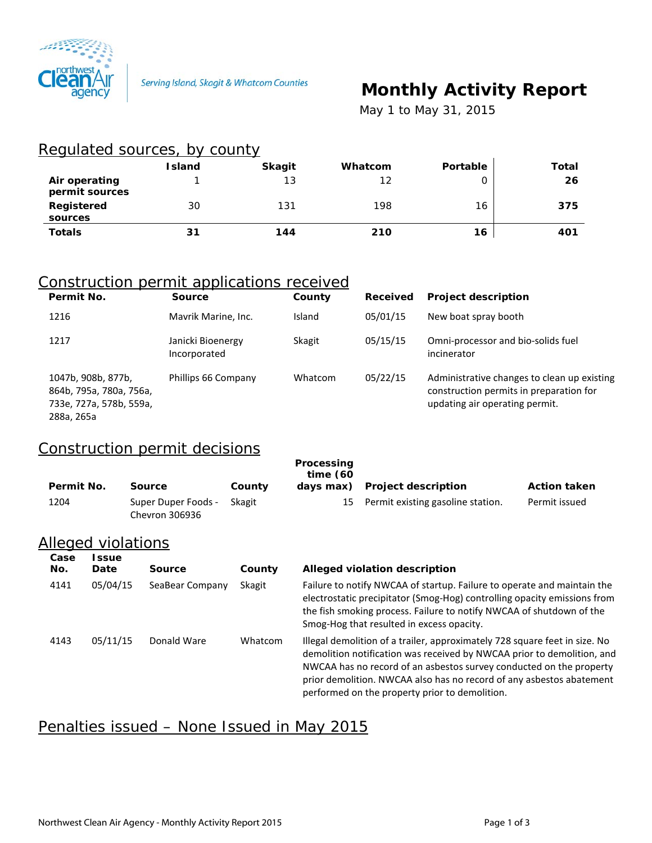

# **Monthly Activity Report**

 *May 1 to May 31, 2015*

#### Regulated sources, by county

|                                 | <b>Island</b> | <b>Skagit</b> | Whatcom | Portable | Total |
|---------------------------------|---------------|---------------|---------|----------|-------|
| Air operating<br>permit sources |               | 13            | 12      |          | 26    |
| Registered<br>sources           | 30            | 131           | 198     | 16       | 375   |
| <b>Totals</b>                   | 31            | 144           | 210     | 16       | 401   |

#### Construction permit applications received

| Permit No.                                                                             | <b>Source</b>                     | County  | Received | <b>Project description</b>                                                                                               |
|----------------------------------------------------------------------------------------|-----------------------------------|---------|----------|--------------------------------------------------------------------------------------------------------------------------|
| 1216                                                                                   | Mavrik Marine, Inc.               | Island  | 05/01/15 | New boat spray booth                                                                                                     |
| 1217                                                                                   | Janicki Bioenergy<br>Incorporated | Skagit  | 05/15/15 | Omni-processor and bio-solids fuel<br>incinerator                                                                        |
| 1047b, 908b, 877b,<br>864b, 795a, 780a, 756a,<br>733e, 727a, 578b, 559a,<br>288a, 265a | Phillips 66 Company               | Whatcom | 05/22/15 | Administrative changes to clean up existing<br>construction permits in preparation for<br>updating air operating permit. |

### Construction permit decisions

| Permit No.  |                      | Source                                       | County  | Processing<br>time(60)<br>days max) | <b>Project description</b>                                                                                                                                                                                                                                                                          | <b>Action taken</b> |
|-------------|----------------------|----------------------------------------------|---------|-------------------------------------|-----------------------------------------------------------------------------------------------------------------------------------------------------------------------------------------------------------------------------------------------------------------------------------------------------|---------------------|
| 1204        |                      | Super Duper Foods -<br><b>Chevron 306936</b> | Skagit  | 15                                  | Permit existing gasoline station.                                                                                                                                                                                                                                                                   | Permit issued       |
|             | Alleged violations   |                                              |         |                                     |                                                                                                                                                                                                                                                                                                     |                     |
| Case<br>No. | <b>Issue</b><br>Date | Source                                       | County  |                                     | Alleged violation description                                                                                                                                                                                                                                                                       |                     |
| 4141        | 05/04/15             | SeaBear Company                              | Skagit  |                                     | Failure to notify NWCAA of startup. Failure to operate and maintain the<br>electrostatic precipitator (Smog-Hog) controlling opacity emissions from<br>the fish smoking process. Failure to notify NWCAA of shutdown of the<br>Smog-Hog that resulted in excess opacity.                            |                     |
| 4143        | 05/11/15             | Donald Ware                                  | Whatcom |                                     | Illegal demolition of a trailer, approximately 728 square feet in size. No<br>demolition notification was received by NWCAA prior to demolition, and<br>NWCAA has no record of an asbestos survey conducted on the property<br>prior demolition. NWCAA also has no record of any asbestos abatement |                     |

performed on the property prior to demolition.

#### Penalties issued – None Issued in May 2015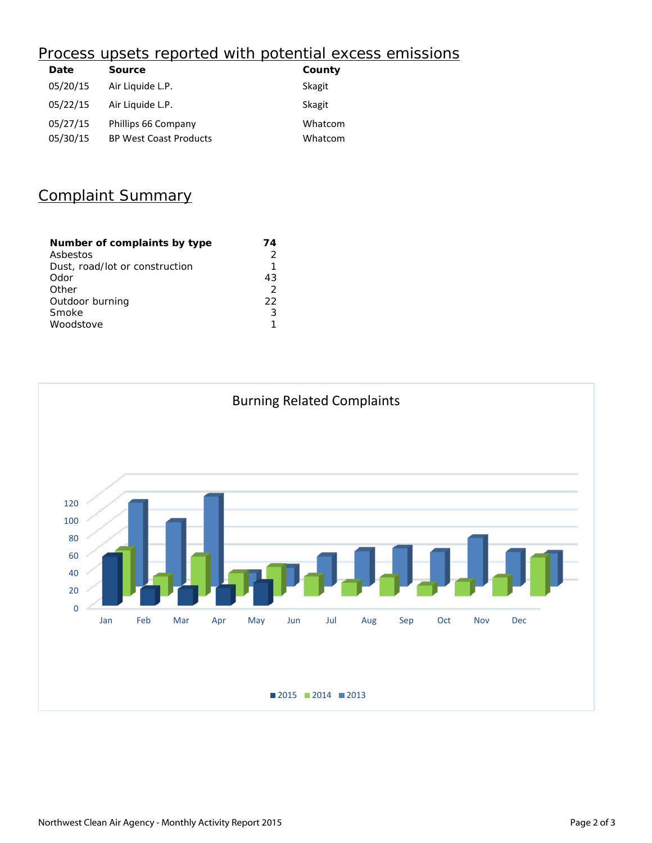## Process upsets reported with potential excess emissions

| Date     | <b>Source</b>                 | County  |
|----------|-------------------------------|---------|
| 05/20/15 | Air Liquide L.P.              | Skagit  |
| 05/22/15 | Air Liquide L.P.              | Skagit  |
| 05/27/15 | Phillips 66 Company           | Whatcom |
| 05/30/15 | <b>BP West Coast Products</b> | Whatcom |

## Complaint Summary

| Number of complaints by type   | 74            |
|--------------------------------|---------------|
| Asbestos                       |               |
| Dust, road/lot or construction | 1             |
| Odor                           | 43            |
| Other                          | $\mathcal{P}$ |
| Outdoor burning                | フフ            |
| Smoke                          | ੨             |
| Woodstove                      |               |